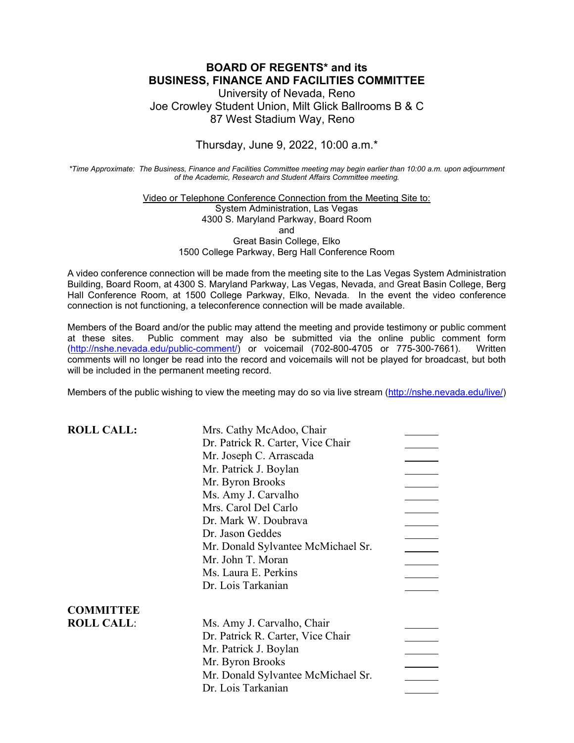## **BOARD OF REGENTS\* and its BUSINESS, FINANCE AND FACILITIES COMMITTEE**

University of Nevada, Reno Joe Crowley Student Union, Milt Glick Ballrooms B & C 87 West Stadium Way, Reno

Thursday, June 9, 2022, 10:00 a.m.\*

*\*Time Approximate: The Business, Finance and Facilities Committee meeting may begin earlier than 10:00 a.m. upon adjournment of the Academic, Research and Student Affairs Committee meeting.*

> Video or Telephone Conference Connection from the Meeting Site to: System Administration, Las Vegas 4300 S. Maryland Parkway, Board Room and Great Basin College, Elko 1500 College Parkway, Berg Hall Conference Room

A video conference connection will be made from the meeting site to the Las Vegas System Administration Building, Board Room, at 4300 S. Maryland Parkway, Las Vegas, Nevada, and Great Basin College, Berg Hall Conference Room, at 1500 College Parkway, Elko, Nevada. In the event the video conference connection is not functioning, a teleconference connection will be made available.

Members of the Board and/or the public may attend the meeting and provide testimony or public comment at these sites. Public comment may also be submitted via the online public comment form [\(http://nshe.nevada.edu/public-comment/\)](http://nshe.nevada.edu/public-comment/) or voicemail (702-800-4705 or 775-300-7661). Written comments will no longer be read into the record and voicemails will not be played for broadcast, but both will be included in the permanent meeting record.

Members of the public wishing to view the meeting may do so via live stream [\(http://nshe.nevada.edu/live/\)](http://nshe.nevada.edu/live/)

| <b>ROLL CALL:</b> | Mrs. Cathy McAdoo, Chair           |  |
|-------------------|------------------------------------|--|
|                   | Dr. Patrick R. Carter, Vice Chair  |  |
|                   | Mr. Joseph C. Arrascada            |  |
|                   | Mr. Patrick J. Boylan              |  |
|                   | Mr. Byron Brooks                   |  |
|                   | Ms. Amy J. Carvalho                |  |
|                   | Mrs. Carol Del Carlo               |  |
|                   | Dr. Mark W. Doubrava               |  |
|                   | Dr. Jason Geddes                   |  |
|                   | Mr. Donald Sylvantee McMichael Sr. |  |
|                   | Mr. John T. Moran                  |  |
|                   | Ms. Laura E. Perkins               |  |
|                   | Dr. Lois Tarkanian                 |  |
| <b>COMMITTEE</b>  |                                    |  |
| <b>ROLL CALL:</b> | Ms. Amy J. Carvalho, Chair         |  |
|                   | Dr. Patrick R. Carter, Vice Chair  |  |
|                   | Mr. Patrick J. Boylan              |  |
|                   | Mr. Byron Brooks                   |  |
|                   | Mr. Donald Sylvantee McMichael Sr. |  |
|                   | Dr. Lois Tarkanian                 |  |
|                   |                                    |  |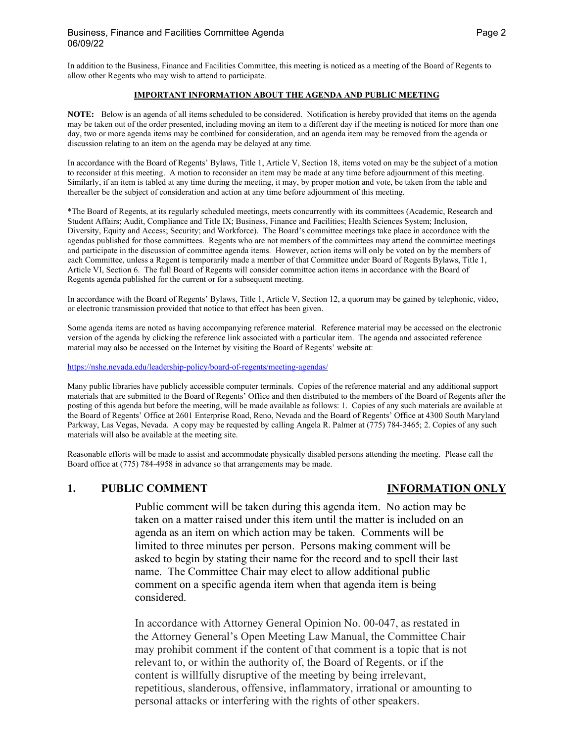In addition to the Business, Finance and Facilities Committee, this meeting is noticed as a meeting of the Board of Regents to allow other Regents who may wish to attend to participate.

#### **IMPORTANT INFORMATION ABOUT THE AGENDA AND PUBLIC MEETING**

**NOTE:** Below is an agenda of all items scheduled to be considered. Notification is hereby provided that items on the agenda may be taken out of the order presented, including moving an item to a different day if the meeting is noticed for more than one day, two or more agenda items may be combined for consideration, and an agenda item may be removed from the agenda or discussion relating to an item on the agenda may be delayed at any time.

In accordance with the Board of Regents' Bylaws, Title 1, Article V, Section 18, items voted on may be the subject of a motion to reconsider at this meeting. A motion to reconsider an item may be made at any time before adjournment of this meeting. Similarly, if an item is tabled at any time during the meeting, it may, by proper motion and vote, be taken from the table and thereafter be the subject of consideration and action at any time before adjournment of this meeting.

\*The Board of Regents, at its regularly scheduled meetings, meets concurrently with its committees (Academic, Research and Student Affairs; Audit, Compliance and Title IX; Business, Finance and Facilities; Health Sciences System; Inclusion, Diversity, Equity and Access; Security; and Workforce). The Board's committee meetings take place in accordance with the agendas published for those committees. Regents who are not members of the committees may attend the committee meetings and participate in the discussion of committee agenda items. However, action items will only be voted on by the members of each Committee, unless a Regent is temporarily made a member of that Committee under Board of Regents Bylaws, Title 1, Article VI, Section 6. The full Board of Regents will consider committee action items in accordance with the Board of Regents agenda published for the current or for a subsequent meeting.

In accordance with the Board of Regents' Bylaws, Title 1, Article V, Section 12, a quorum may be gained by telephonic, video, or electronic transmission provided that notice to that effect has been given.

Some agenda items are noted as having accompanying reference material. Reference material may be accessed on the electronic version of the agenda by clicking the reference link associated with a particular item. The agenda and associated reference material may also be accessed on the Internet by visiting the Board of Regents' website at:

<https://nshe.nevada.edu/leadership-policy/board-of-regents/meeting-agendas/>

Many public libraries have publicly accessible computer terminals. Copies of the reference material and any additional support materials that are submitted to the Board of Regents' Office and then distributed to the members of the Board of Regents after the posting of this agenda but before the meeting, will be made available as follows: 1. Copies of any such materials are available at the Board of Regents' Office at 2601 Enterprise Road, Reno, Nevada and the Board of Regents' Office at 4300 South Maryland Parkway, Las Vegas, Nevada. A copy may be requested by calling Angela R. Palmer at (775) 784-3465; 2. Copies of any such materials will also be available at the meeting site.

Reasonable efforts will be made to assist and accommodate physically disabled persons attending the meeting. Please call the Board office at (775) 784-4958 in advance so that arrangements may be made.

#### **1. PUBLIC COMMENT INFORMATION ONLY**

Public comment will be taken during this agenda item. No action may be taken on a matter raised under this item until the matter is included on an agenda as an item on which action may be taken. Comments will be limited to three minutes per person. Persons making comment will be asked to begin by stating their name for the record and to spell their last name. The Committee Chair may elect to allow additional public comment on a specific agenda item when that agenda item is being considered.

In accordance with Attorney General Opinion No. 00-047, as restated in the Attorney General's Open Meeting Law Manual, the Committee Chair may prohibit comment if the content of that comment is a topic that is not relevant to, or within the authority of, the Board of Regents, or if the content is willfully disruptive of the meeting by being irrelevant, repetitious, slanderous, offensive, inflammatory, irrational or amounting to personal attacks or interfering with the rights of other speakers.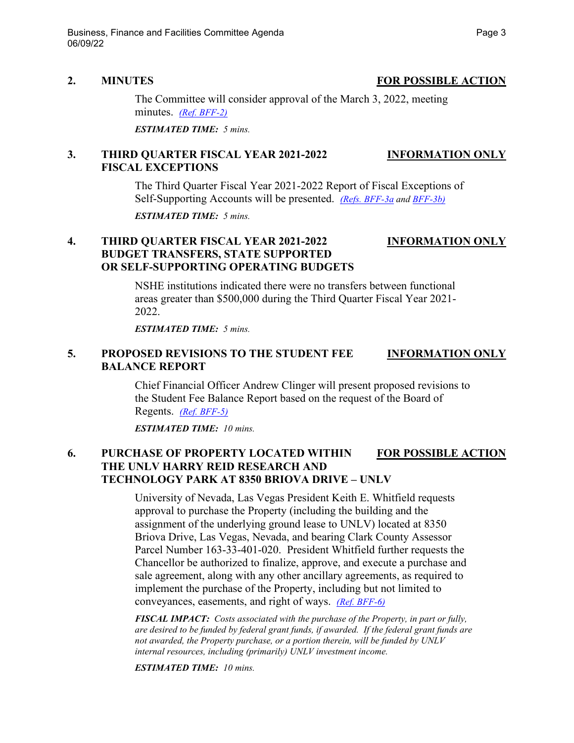#### **2. MINUTES FOR POSSIBLE ACTION**

The Committee will consider approval of the March 3, 2022, meeting minutes. *[\(Ref. BFF-2\)](https://nshe.nevada.edu/wp-content/uploads/file/BoardOfRegents/Agendas/2022/06-jun-mtgs/bff-refs/BFF-2.pdf)*

*ESTIMATED TIME: 5 mins.*

### **3. THIRD QUARTER FISCAL YEAR 2021-2022 INFORMATION ONLY FISCAL EXCEPTIONS**

The Third Quarter Fiscal Year 2021-2022 Report of Fiscal Exceptions of Self-Supporting Accounts will be presented. *[\(Refs. BFF-3a](https://nshe.nevada.edu/wp-content/uploads/file/BoardOfRegents/Agendas/2022/06-jun-mtgs/bff-refs/BFF-3a.pdf) and [BFF-3b\)](https://nshe.nevada.edu/wp-content/uploads/file/BoardOfRegents/Agendas/2022/06-jun-mtgs/bff-refs/BFF-3b.pdf)*

*ESTIMATED TIME: 5 mins.*

### **4. THIRD QUARTER FISCAL YEAR 2021-2022 INFORMATION ONLY BUDGET TRANSFERS, STATE SUPPORTED OR SELF-SUPPORTING OPERATING BUDGETS**

NSHE institutions indicated there were no transfers between functional areas greater than \$500,000 during the Third Quarter Fiscal Year 2021- 2022.

*ESTIMATED TIME: 5 mins.*

#### **5. PROPOSED REVISIONS TO THE STUDENT FEE INFORMATION ONLY BALANCE REPORT**

Chief Financial Officer Andrew Clinger will present proposed revisions to the Student Fee Balance Report based on the request of the Board of Regents. *[\(Ref. BFF-5\)](https://nshe.nevada.edu/wp-content/uploads/file/BoardOfRegents/Agendas/2022/06-jun-mtgs/bff-refs/BFF-5.pdf)*

*ESTIMATED TIME: 10 mins.*

# **6. PURCHASE OF PROPERTY LOCATED WITHIN FOR POSSIBLE ACTION THE UNLV HARRY REID RESEARCH AND TECHNOLOGY PARK AT 8350 BRIOVA DRIVE – UNLV**

University of Nevada, Las Vegas President Keith E. Whitfield requests approval to purchase the Property (including the building and the assignment of the underlying ground lease to UNLV) located at 8350 Briova Drive, Las Vegas, Nevada, and bearing Clark County Assessor Parcel Number 163-33-401-020. President Whitfield further requests the Chancellor be authorized to finalize, approve, and execute a purchase and sale agreement, along with any other ancillary agreements, as required to implement the purchase of the Property, including but not limited to conveyances, easements, and right of ways. *[\(Ref. BFF-6\)](https://nshe.nevada.edu/wp-content/uploads/file/BoardOfRegents/Agendas/2022/06-jun-mtgs/bff-refs/BFF-6.pdf)*

*FISCAL IMPACT: Costs associated with the purchase of the Property, in part or fully, are desired to be funded by federal grant funds, if awarded. If the federal grant funds are not awarded, the Property purchase, or a portion therein, will be funded by UNLV internal resources, including (primarily) UNLV investment income.*

*ESTIMATED TIME: 10 mins.*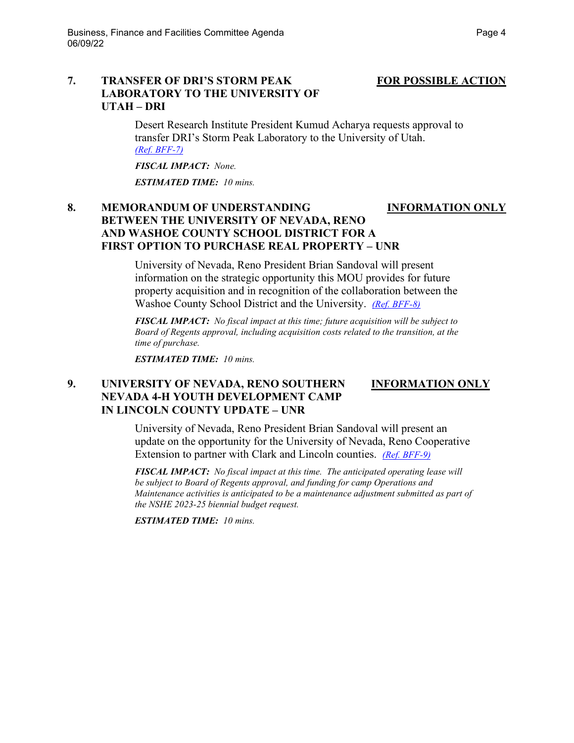### **7. TRANSFER OF DRI'S STORM PEAK FOR POSSIBLE ACTION LABORATORY TO THE UNIVERSITY OF UTAH – DRI**

Desert Research Institute President Kumud Acharya requests approval to transfer DRI's Storm Peak Laboratory to the University of Utah. *[\(Ref. BFF-7\)](https://nshe.nevada.edu/wp-content/uploads/file/BoardOfRegents/Agendas/2022/06-jun-mtgs/bff-refs/BFF-7.pdf)*

*FISCAL IMPACT: None.* 

*ESTIMATED TIME: 10 mins.*

## **8. MEMORANDUM OF UNDERSTANDING INFORMATION ONLY BETWEEN THE UNIVERSITY OF NEVADA, RENO AND WASHOE COUNTY SCHOOL DISTRICT FOR A FIRST OPTION TO PURCHASE REAL PROPERTY – UNR**

University of Nevada, Reno President Brian Sandoval will present information on the strategic opportunity this MOU provides for future property acquisition and in recognition of the collaboration between the Washoe County School District and the University. *[\(Ref. BFF-8\)](https://nshe.nevada.edu/wp-content/uploads/file/BoardOfRegents/Agendas/2022/06-jun-mtgs/bff-refs/BFF-8.pdf)*

*FISCAL IMPACT: No fiscal impact at this time; future acquisition will be subject to Board of Regents approval, including acquisition costs related to the transition, at the time of purchase.* 

*ESTIMATED TIME: 10 mins.*

### **9. UNIVERSITY OF NEVADA, RENO SOUTHERN INFORMATION ONLY NEVADA 4-H YOUTH DEVELOPMENT CAMP IN LINCOLN COUNTY UPDATE – UNR**

University of Nevada, Reno President Brian Sandoval will present an update on the opportunity for the University of Nevada, Reno Cooperative Extension to partner with Clark and Lincoln counties. *[\(Ref. BFF-9\)](https://nshe.nevada.edu/wp-content/uploads/file/BoardOfRegents/Agendas/2022/06-jun-mtgs/bff-refs/BFF-9.pdf)*

*FISCAL IMPACT: No fiscal impact at this time. The anticipated operating lease will be subject to Board of Regents approval, and funding for camp Operations and Maintenance activities is anticipated to be a maintenance adjustment submitted as part of the NSHE 2023-25 biennial budget request.* 

*ESTIMATED TIME: 10 mins.*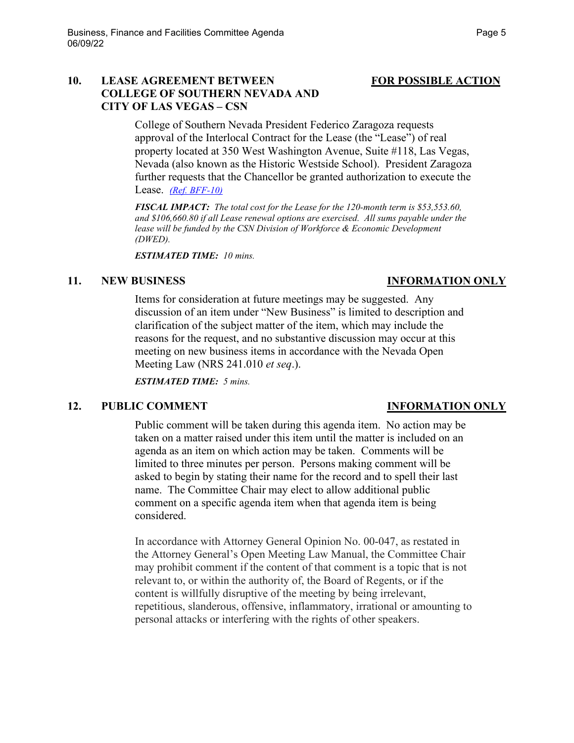### 10. LEASE AGREEMENT BETWEEN FOR POSSIBLE ACTION **COLLEGE OF SOUTHERN NEVADA AND CITY OF LAS VEGAS – CSN**

College of Southern Nevada President Federico Zaragoza requests approval of the Interlocal Contract for the Lease (the "Lease") of real property located at 350 West Washington Avenue, Suite #118, Las Vegas, Nevada (also known as the Historic Westside School). President Zaragoza further requests that the Chancellor be granted authorization to execute the Lease. *[\(Ref. BFF-10\)](https://nshe.nevada.edu/wp-content/uploads/file/BoardOfRegents/Agendas/2022/06-jun-mtgs/bff-refs/BFF-10.pdf)*

*FISCAL IMPACT: The total cost for the Lease for the 120-month term is \$53,553.60, and \$106,660.80 if all Lease renewal options are exercised. All sums payable under the lease will be funded by the CSN Division of Workforce & Economic Development (DWED).*

*ESTIMATED TIME: 10 mins.*

#### **11. NEW BUSINESS INFORMATION ONLY**

## Items for consideration at future meetings may be suggested. Any discussion of an item under "New Business" is limited to description and clarification of the subject matter of the item, which may include the reasons for the request, and no substantive discussion may occur at this meeting on new business items in accordance with the Nevada Open Meeting Law (NRS 241.010 *et seq*.).

*ESTIMATED TIME: 5 mins.*

# **12. PUBLIC COMMENT INFORMATION ONLY**

Public comment will be taken during this agenda item. No action may be taken on a matter raised under this item until the matter is included on an agenda as an item on which action may be taken. Comments will be limited to three minutes per person. Persons making comment will be asked to begin by stating their name for the record and to spell their last name. The Committee Chair may elect to allow additional public comment on a specific agenda item when that agenda item is being considered.

In accordance with Attorney General Opinion No. 00-047, as restated in the Attorney General's Open Meeting Law Manual, the Committee Chair may prohibit comment if the content of that comment is a topic that is not relevant to, or within the authority of, the Board of Regents, or if the content is willfully disruptive of the meeting by being irrelevant, repetitious, slanderous, offensive, inflammatory, irrational or amounting to personal attacks or interfering with the rights of other speakers.